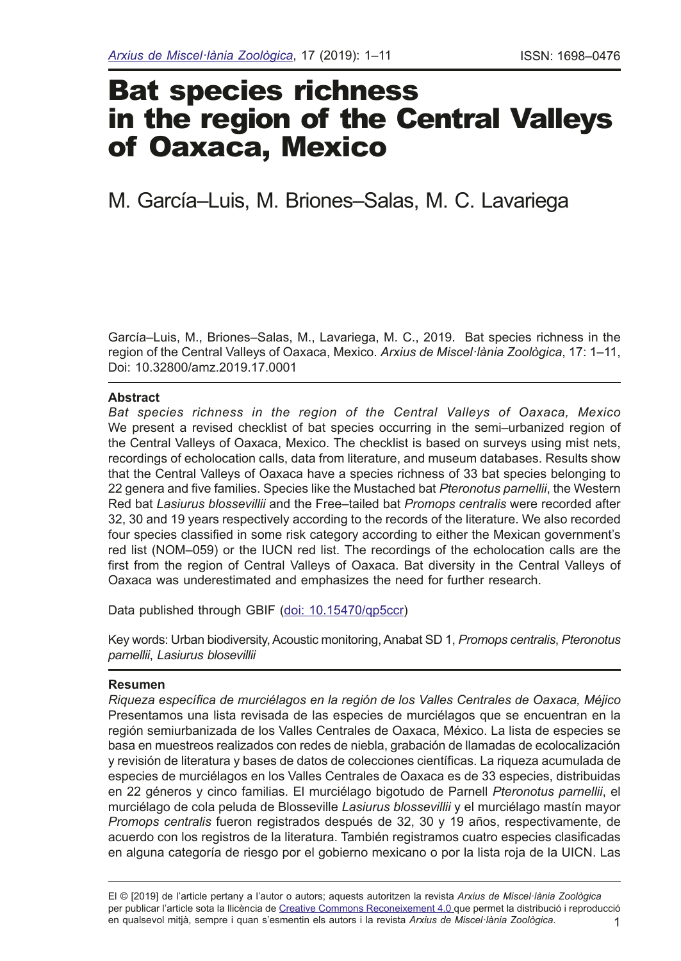# Bat species richness in the region of the Central Valleys of Oaxaca, Mexico

# M. García–Luis, M. Briones–Salas, M. C. Lavariega

García–Luis, M., Briones–Salas, M., Lavariega, M. C., 2019. Bat species richness in the region of the Central Valleys of Oaxaca, Mexico. *Arxius de Miscel·lània Zoològica*, 17: 1–11, Doi: 10.32800/amz.2019.17.0001

## **Abstract**

*Bat species richness in the region of the Central Valleys of Oaxaca, Mexico* We present a revised checklist of bat species occurring in the semi–urbanized region of the Central Valleys of Oaxaca, Mexico. The checklist is based on surveys using mist nets, recordings of echolocation calls, data from literature, and museum databases. Results show that the Central Valleys of Oaxaca have a species richness of 33 bat species belonging to 22 genera and fve families. Species like the Mustached bat *Pteronotus parnellii*, the Western Red bat *Lasiurus blossevillii* and the Free–tailed bat *Promops centralis* were recorded after 32, 30 and 19 years respectively according to the records of the literature. We also recorded four species classifed in some risk category according to either the Mexican government's red list (NOM–059) or the IUCN red list. The recordings of the echolocation calls are the frst from the region of Central Valleys of Oaxaca. Bat diversity in the Central Valleys of Oaxaca was underestimated and emphasizes the need for further research.

Data published through GBIF [\(doi: 10.15470/qp5ccr\)](https://www.gbif.org/dataset/127d349d-c641-4897-8fe7-4bea2f540709)

Key words: Urban biodiversity, Acoustic monitoring, Anabat SD 1, *Promops centralis*, *Pteronotus parnellii*, *Lasiurus blosevillii*

## **Resumen**

*Riqueza específca de murciélagos en la región de los Valles Centrales de Oaxaca, Méjico* Presentamos una lista revisada de las especies de murciélagos que se encuentran en la región semiurbanizada de los Valles Centrales de Oaxaca, México. La lista de especies se basa en muestreos realizados con redes de niebla, grabación de llamadas de ecolocalización y revisión de literatura y bases de datos de colecciones científcas. La riqueza acumulada de especies de murciélagos en los Valles Centrales de Oaxaca es de 33 especies, distribuidas en 22 géneros y cinco familias. El murciélago bigotudo de Parnell *Pteronotus parnellii*, el murciélago de cola peluda de Blosseville *Lasiurus blossevillii* y el murciélago mastín mayor *Promops centralis* fueron registrados después de 32, 30 y 19 años, respectivamente, de acuerdo con los registros de la literatura. También registramos cuatro especies clasifcadas en alguna categoría de riesgo por el gobierno mexicano o por la lista roja de la UICN. Las

1 El © [2019] de l'article pertany a l'autor o autors; aquests autoritzen la revista *Arxius de Miscel·lània Zoològica* per publicar l'article sota la llicència de [Creative Commons Reconeixement 4.0](http://creativecommons.org/licenses/by/3.0/deed.ca) que permet la distribució i reproducció en qualsevol mitjà, sempre i quan s'esmentin els autors i la revista *Arxius de Miscel·lània Zoològica*.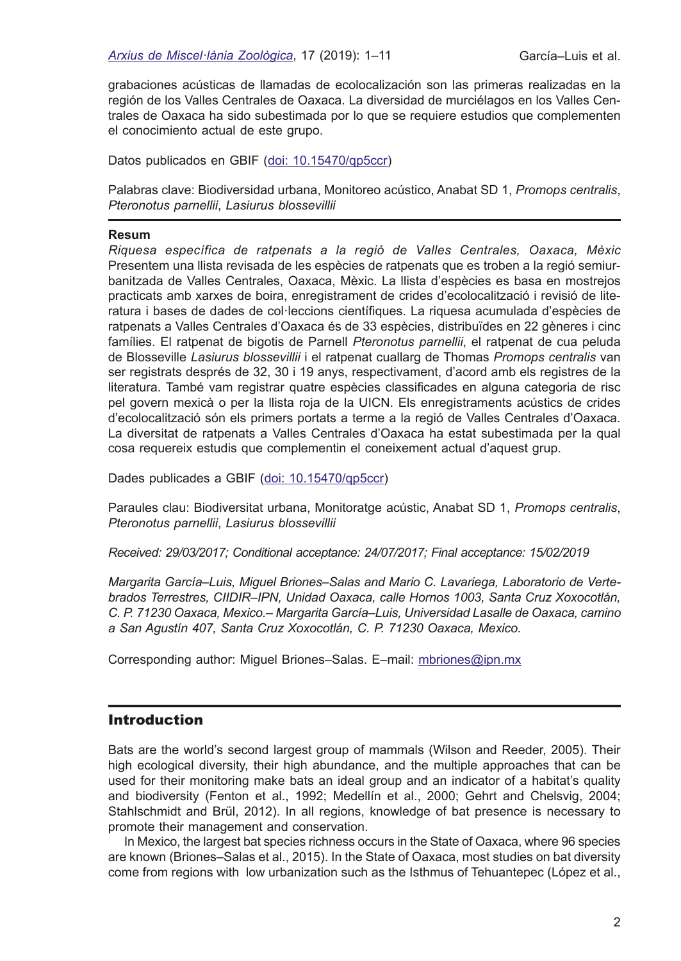grabaciones acústicas de llamadas de ecolocalización son las primeras realizadas en la región de los Valles Centrales de Oaxaca. La diversidad de murciélagos en los Valles Centrales de Oaxaca ha sido subestimada por lo que se requiere estudios que complementen el conocimiento actual de este grupo.

Datos publicados en GBIF ([doi: 10.15470/qp5ccr](https://www.gbif.org/dataset/127d349d-c641-4897-8fe7-4bea2f540709))

Palabras clave: Biodiversidad urbana, Monitoreo acústico, Anabat SD 1, *Promops centralis*, *Pteronotus parnellii*, *Lasiurus blossevillii*

#### **Resum**

*Riquesa específica de ratpenats a la regió de Valles Centrales, Oaxaca, Mèxic* Presentem una llista revisada de les espècies de ratpenats que es troben a la regió semiurbanitzada de Valles Centrales, Oaxaca, Mèxic. La llista d'espècies es basa en mostrejos practicats amb xarxes de boira, enregistrament de crides d'ecolocalització i revisió de literatura i bases de dades de col·leccions científques. La riquesa acumulada d'espècies de ratpenats a Valles Centrales d'Oaxaca és de 33 espècies, distribuïdes en 22 gèneres i cinc famílies. El ratpenat de bigotis de Parnell *Pteronotus parnellii*, el ratpenat de cua peluda de Blosseville *Lasiurus blossevillii* i el ratpenat cuallarg de Thomas *Promops centralis* van ser registrats després de 32, 30 i 19 anys, respectivament, d'acord amb els registres de la literatura. També vam registrar quatre espècies classifcades en alguna categoria de risc pel govern mexicà o per la llista roja de la UICN. Els enregistraments acústics de crides d'ecolocalització són els primers portats a terme a la regió de Valles Centrales d'Oaxaca. La diversitat de ratpenats a Valles Centrales d'Oaxaca ha estat subestimada per la qual cosa requereix estudis que complementin el coneixement actual d'aquest grup.

Dades publicades a GBIF [\(doi: 10.15470/qp5ccr\)](https://www.gbif.org/dataset/127d349d-c641-4897-8fe7-4bea2f540709)

Paraules clau: Biodiversitat urbana, Monitoratge acústic, Anabat SD 1, *Promops centralis*, *Pteronotus parnellii*, *Lasiurus blossevillii*

*Received: 29/03/2017; Conditional acceptance: 24/07/2017; Final acceptance: 15/02/2019*

*Margarita García–Luis, Miguel Briones–Salas and Mario C. Lavariega, Laboratorio de Vertebrados Terrestres, CIIDIR–IPN, Unidad Oaxaca, calle Hornos 1003, Santa Cruz Xoxocotlán, C. P. 71230 Oaxaca, Mexico.– Margarita García–Luis, Universidad Lasalle de Oaxaca, camino a San Agustín 407, Santa Cruz Xoxocotlán, C. P. 71230 Oaxaca, Mexico.*

Corresponding author: Miguel Briones–Salas. E–mail: [mbriones@ipn.mx](mailto:mbriones%40ipn.mx?subject=)

# **Introduction**

Bats are the world's second largest group of mammals (Wilson and Reeder, 2005). Their high ecological diversity, their high abundance, and the multiple approaches that can be used for their monitoring make bats an ideal group and an indicator of a habitat's quality and biodiversity (Fenton et al., 1992; Medellín et al., 2000; Gehrt and Chelsvig, 2004; Stahlschmidt and Brül, 2012). In all regions, knowledge of bat presence is necessary to promote their management and conservation.

In Mexico, the largest bat species richness occurs in the State of Oaxaca, where 96 species are known (Briones–Salas et al., 2015). In the State of Oaxaca, most studies on bat diversity come from regions with low urbanization such as the Isthmus of Tehuantepec (López et al.,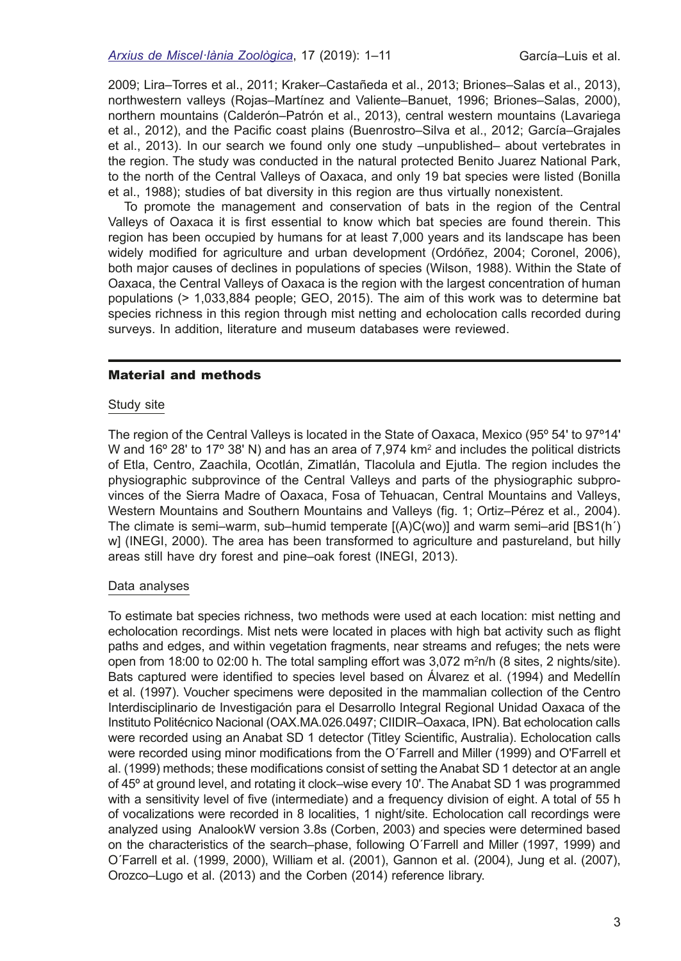2009; Lira–Torres et al., 2011; Kraker–Castañeda et al., 2013; Briones–Salas et al., 2013), northwestern valleys (Rojas–Martínez and Valiente–Banuet, 1996; Briones–Salas, 2000), northern mountains (Calderón–Patrón et al., 2013), central western mountains (Lavariega et al., 2012), and the Pacifc coast plains (Buenrostro–Silva et al., 2012; García–Grajales et al., 2013). In our search we found only one study –unpublished– about vertebrates in the region. The study was conducted in the natural protected Benito Juarez National Park, to the north of the Central Valleys of Oaxaca, and only 19 bat species were listed (Bonilla et al., 1988); studies of bat diversity in this region are thus virtually nonexistent.

To promote the management and conservation of bats in the region of the Central Valleys of Oaxaca it is frst essential to know which bat species are found therein. This region has been occupied by humans for at least 7,000 years and its landscape has been widely modifed for agriculture and urban development (Ordóñez, 2004; Coronel, 2006), both major causes of declines in populations of species (Wilson, 1988). Within the State of Oaxaca, the Central Valleys of Oaxaca is the region with the largest concentration of human populations (> 1,033,884 people; GEO, 2015). The aim of this work was to determine bat species richness in this region through mist netting and echolocation calls recorded during surveys. In addition, literature and museum databases were reviewed.

#### Material and methods

#### Study site

The region of the Central Valleys is located in the State of Oaxaca, Mexico (95º 54' to 97º14' W and 16º 28' to 17º 38' N) and has an area of 7,974 km² and includes the political districts of Etla, Centro, Zaachila, Ocotlán, Zimatlán, Tlacolula and Ejutla. The region includes the physiographic subprovince of the Central Valleys and parts of the physiographic subprovinces of the Sierra Madre of Oaxaca, Fosa of Tehuacan, Central Mountains and Valleys, Western Mountains and Southern Mountains and Valleys (fg. 1; Ortiz–Pérez et al*.,* 2004). The climate is semi–warm, sub–humid temperate [(A)C(wo)] and warm semi–arid [BS1(h´) w] (INEGI, 2000). The area has been transformed to agriculture and pastureland, but hilly areas still have dry forest and pine–oak forest (INEGI, 2013).

#### Data analyses

To estimate bat species richness, two methods were used at each location: mist netting and echolocation recordings. Mist nets were located in places with high bat activity such as fight paths and edges, and within vegetation fragments, near streams and refuges; the nets were open from 18:00 to 02:00 h. The total sampling effort was 3,072 m²n/h (8 sites, 2 nights/site). Bats captured were identifed to species level based on Álvarez et al. (1994) and Medellín et al. (1997). Voucher specimens were deposited in the mammalian collection of the Centro Interdisciplinario de Investigación para el Desarrollo Integral Regional Unidad Oaxaca of the Instituto Politécnico Nacional (OAX.MA.026.0497; CIIDIR–Oaxaca, IPN). Bat echolocation calls were recorded using an Anabat SD 1 detector (Titley Scientifc, Australia). Echolocation calls were recorded using minor modifcations from the O´Farrell and Miller (1999) and O'Farrell et al. (1999) methods; these modifcations consist of setting the Anabat SD 1 detector at an angle of 45º at ground level, and rotating it clock–wise every 10'. The Anabat SD 1 was programmed with a sensitivity level of five (intermediate) and a frequency division of eight. A total of 55 h of vocalizations were recorded in 8 localities, 1 night/site. Echolocation call recordings were analyzed using AnalookW version 3.8s (Corben, 2003) and species were determined based on the characteristics of the search–phase, following O´Farrell and Miller (1997, 1999) and O´Farrell et al. (1999, 2000), William et al. (2001), Gannon et al. (2004), Jung et al. (2007), Orozco–Lugo et al. (2013) and the Corben (2014) reference library.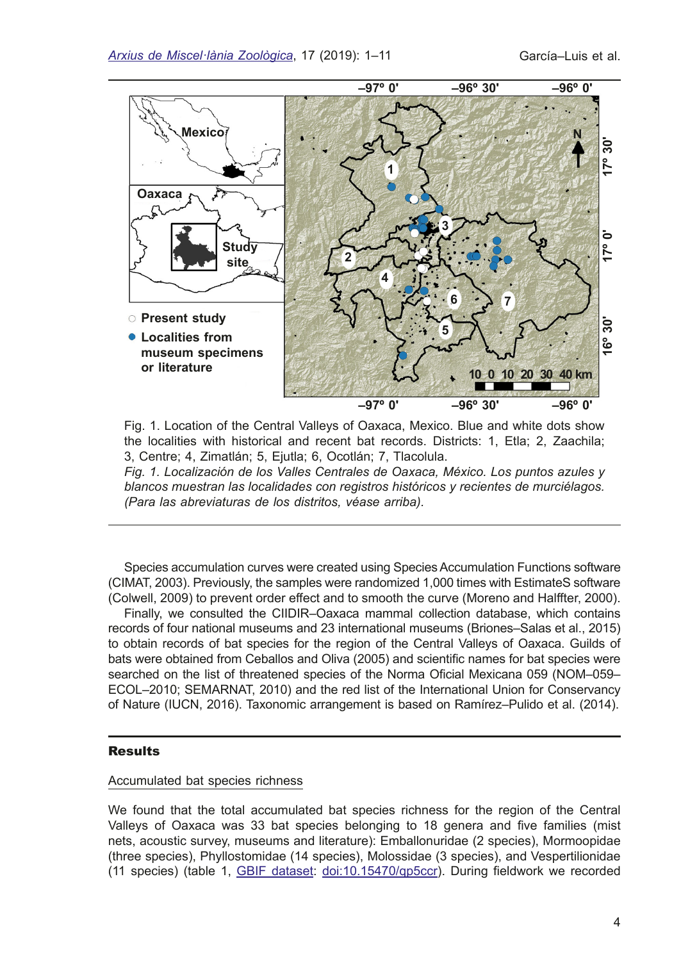

Fig. 1. Location of the Central Valleys of Oaxaca, Mexico. Blue and white dots show the localities with historical and recent bat records. Districts: 1, Etla; 2, Zaachila; 3, Centre; 4, Zimatlán; 5, Ejutla; 6, Ocotlán; 7, Tlacolula.

*Fig. 1. Localización de los Valles Centrales de Oaxaca, México. Los puntos azules y blancos muestran las localidades con registros históricos y recientes de murciélagos. (Para las abreviaturas de los distritos, véase arriba).*

Species accumulation curves were created using Species Accumulation Functions software (CIMAT, 2003). Previously, the samples were randomized 1,000 times with EstimateS software (Colwell, 2009) to prevent order effect and to smooth the curve (Moreno and Halffter, 2000).

Finally, we consulted the CIIDIR–Oaxaca mammal collection database, which contains records of four national museums and 23 international museums (Briones–Salas et al., 2015) to obtain records of bat species for the region of the Central Valleys of Oaxaca. Guilds of bats were obtained from Ceballos and Oliva (2005) and scientifc names for bat species were searched on the list of threatened species of the Norma Oficial Mexicana 059 (NOM-059-ECOL–2010; SEMARNAT, 2010) and the red list of the International Union for Conservancy of Nature (IUCN, 2016). Taxonomic arrangement is based on Ramírez–Pulido et al. (2014).

# Results

#### Accumulated bat species richness

We found that the total accumulated bat species richness for the region of the Central Valleys of Oaxaca was 33 bat species belonging to 18 genera and fve families (mist nets, acoustic survey, museums and literature): Emballonuridae (2 species), Mormoopidae (three species), Phyllostomidae (14 species), Molossidae (3 species), and Vespertilionidae (11 species) (table 1, [GBIF dataset:](https://www.gbif.org/data-papers) [doi:10.15470/qp5ccr](https://www.gbif.org/dataset/127d349d-c641-4897-8fe7-4bea2f540709)). During feldwork we recorded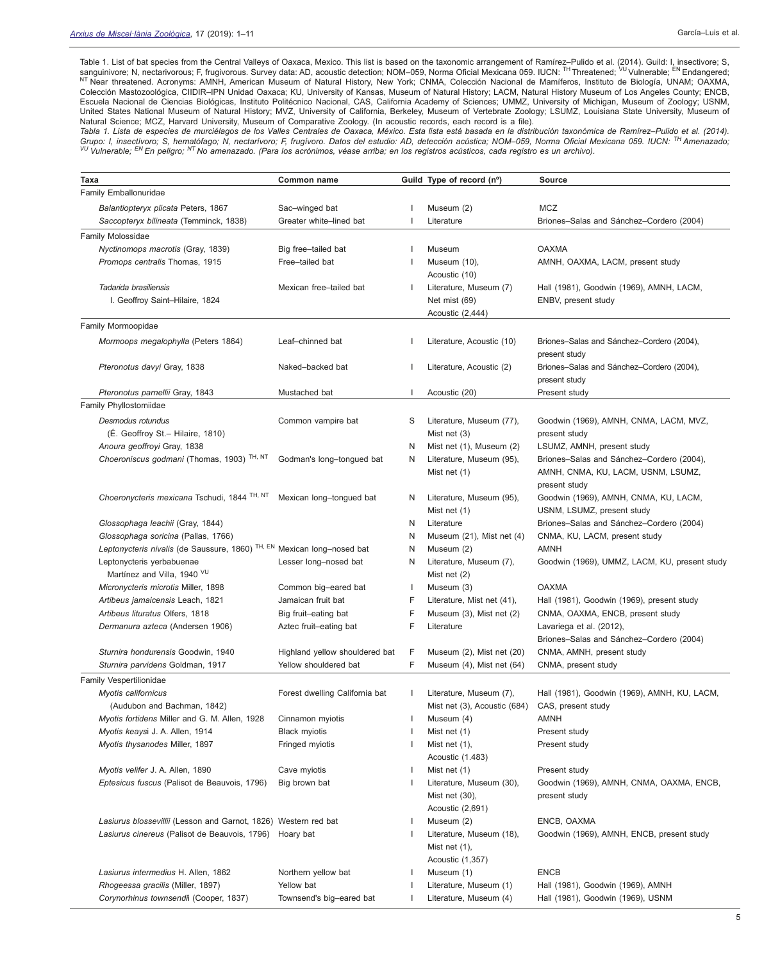Table 1. List of bat species from the Central Valleys of Oaxaca, Mexico. This list is based on the taxonomic arrangement of Ramírez–Pulido et al. (2014). Guild: I, insectivore; S, sanguinivore; N, nectarivorous; F, frugivorous. Survey data: AD, acoustic detection; NOM–059, Norma Oficial Mexicana 059. IUCN: <sup>TH</sup> Threatened; <sup>VU</sup> Vulnerable; <sup>EN</sup> Endangered; <sup>NT</sup> Near threatened. Acronyms: AMNH, American Museum of Natural History, New York; CNMA, Colección Nacional de Mamíferos, Instituto de Biología, UNAM; OAXMA, Colección Mastozoológica, CIIDIR–IPN Unidad Oaxaca; KU, University of Kansas, Museum of Natural History; LACM, Natural History Museum of Los Angeles County; ENCB, Escuela Nacional de Ciencias Biológicas, Instituto Politécnico Nacional, CAS, California Academy of Sciences; UMMZ, University of Michigan, Museum of Zoology; USNM, United States National Museum of Natural History; MVZ, University of California, Berkeley, Museum of Vertebrate Zoology; LSUMZ, Louisiana State University, Museum of Natural Science; MCZ, Harvard University, Museum of Comparative Zoology. (In acoustic records, each record is a fle).

*Tabla 1. Lista de especies de murciélagos de los Valles Centrales de Oaxaca, México. Esta lista está basada en la distribución taxonómica de Ramírez–Pulido et al. (2014). Grupo: I, insectívoro; S, hematófago; N, nectarívoro; F, frugívoro. Datos del estudio: AD, detección acústica; NOM–059, Norma Ofcial Mexicana 059. IUCN: TH Amenazado; VU Vulnerable; EN En peligro; NT No amenazado. (Para los acrónimos, véase arriba; en los registros acústicos, cada registro es un archivo).*

| <b>Taxa</b>                                                                        | Common name                    |              | Guild Type of record (nº)    | <b>Source</b>                                 |
|------------------------------------------------------------------------------------|--------------------------------|--------------|------------------------------|-----------------------------------------------|
| Family Emballonuridae                                                              |                                |              |                              |                                               |
| Balantiopteryx plicata Peters, 1867                                                | Sac-winged bat                 |              | Museum (2)                   | <b>MCZ</b>                                    |
| Saccopteryx bilineata (Temminck, 1838)                                             | Greater white-lined bat        |              | Literature                   | Briones-Salas and Sánchez-Cordero (2004)      |
|                                                                                    |                                |              |                              |                                               |
| Family Molossidae                                                                  |                                |              |                              |                                               |
| Nyctinomops macrotis (Gray, 1839)                                                  | Big free-tailed bat            |              | Museum                       | <b>OAXMA</b>                                  |
| Promops centralis Thomas, 1915                                                     | Free-tailed bat                |              | Museum (10),                 | AMNH, OAXMA, LACM, present study              |
|                                                                                    |                                |              | Acoustic (10)                |                                               |
| Tadarida brasiliensis                                                              | Mexican free-tailed bat        |              | Literature, Museum (7)       | Hall (1981), Goodwin (1969), AMNH, LACM,      |
| I. Geoffroy Saint-Hilaire, 1824                                                    |                                |              | Net mist (69)                | ENBV, present study                           |
|                                                                                    |                                |              | Acoustic (2,444)             |                                               |
| Family Mormoopidae                                                                 |                                |              |                              |                                               |
| Mormoops megalophylla (Peters 1864)                                                | Leaf-chinned bat               |              | Literature, Acoustic (10)    | Briones-Salas and Sánchez-Cordero (2004),     |
|                                                                                    |                                |              |                              | present study                                 |
| Pteronotus davyi Gray, 1838                                                        | Naked-backed bat               |              | Literature, Acoustic (2)     | Briones-Salas and Sánchez-Cordero (2004),     |
|                                                                                    |                                |              |                              | present study                                 |
| Pteronotus parnellii Gray, 1843                                                    | Mustached bat                  |              | Acoustic (20)                | Present study                                 |
| Family Phyllostomiidae                                                             |                                |              |                              |                                               |
| Desmodus rotundus                                                                  | Common vampire bat             | S            | Literature, Museum (77),     | Goodwin (1969), AMNH, CNMA, LACM, MVZ,        |
| (É. Geoffroy St. – Hilaire, 1810)                                                  |                                |              | Mist net (3)                 | present study                                 |
| Anoura geoffroyi Gray, 1838                                                        |                                | N.           | Mist net (1), Museum (2)     | LSUMZ, AMNH, present study                    |
| Choeroniscus godmani (Thomas, 1903) TH, NT                                         | Godman's long-tongued bat      | N.           | Literature, Museum (95),     | Briones-Salas and Sánchez-Cordero (2004),     |
|                                                                                    |                                |              | Mist net (1)                 | AMNH, CNMA, KU, LACM, USNM, LSUMZ,            |
|                                                                                    |                                |              |                              | present study                                 |
| Choeronycteris mexicana Tschudi, 1844 <sup>TH, NT</sup>                            | Mexican long-tongued bat       | N.           | Literature, Museum (95),     | Goodwin (1969), AMNH, CNMA, KU, LACM,         |
|                                                                                    |                                |              | Mist net (1)                 | USNM, LSUMZ, present study                    |
| Glossophaga leachii (Gray, 1844)                                                   |                                | N            | Literature                   | Briones-Salas and Sánchez-Cordero (2004)      |
| Glossophaga soricina (Pallas, 1766)                                                |                                | N            | Museum (21), Mist net (4)    | CNMA, KU, LACM, present study                 |
| Leptonycteris nivalis (de Saussure, 1860) <sup>TH, EN</sup> Mexican long-nosed bat |                                | N            | Museum (2)                   | <b>AMNH</b>                                   |
| Leptonycteris yerbabuenae                                                          | Lesser long-nosed bat          | N            | Literature, Museum (7),      | Goodwin (1969), UMMZ, LACM, KU, present study |
| Martínez and Villa, 1940 VU                                                        |                                |              | Mist net $(2)$               |                                               |
| Micronycteris microtis Miller, 1898                                                | Common big-eared bat           |              | Museum (3)                   | <b>OAXMA</b>                                  |
| Artibeus jamaicensis Leach, 1821                                                   | Jamaican fruit bat             | F            | Literature, Mist net (41),   | Hall (1981), Goodwin (1969), present study    |
| Artibeus lituratus Olfers, 1818                                                    | Big fruit-eating bat           | F            | Museum (3), Mist net (2)     | CNMA, OAXMA, ENCB, present study              |
| Dermanura azteca (Andersen 1906)                                                   | Aztec fruit-eating bat         | F            | Literature                   | Lavariega et al. (2012),                      |
|                                                                                    |                                |              |                              | Briones-Salas and Sánchez-Cordero (2004)      |
| Sturnira hondurensis Goodwin, 1940                                                 | Highland yellow shouldered bat | F            | Museum (2), Mist net (20)    | CNMA, AMNH, present study                     |
| Sturnira parvidens Goldman, 1917                                                   | Yellow shouldered bat          | F            | Museum (4), Mist net (64)    | CNMA, present study                           |
| Family Vespertilionidae                                                            |                                |              |                              |                                               |
| Myotis californicus                                                                | Forest dwelling California bat | $\mathbf{I}$ | Literature, Museum (7),      | Hall (1981), Goodwin (1969), AMNH, KU, LACM,  |
| (Audubon and Bachman, 1842)                                                        |                                |              | Mist net (3), Acoustic (684) | CAS, present study                            |
| Myotis fortidens Miller and G. M. Allen, 1928                                      | Cinnamon myiotis               |              | Museum (4)                   | <b>AMNH</b>                                   |
| Myotis keaysi J. A. Allen, 1914                                                    | <b>Black myiotis</b>           |              | Mist net (1)                 | Present study                                 |
| Myotis thysanodes Miller, 1897                                                     | Fringed myiotis                |              | Mist net $(1)$ ,             | Present study                                 |
|                                                                                    |                                |              | Acoustic (1.483)             |                                               |
| Myotis velifer J. A. Allen, 1890                                                   | Cave myiotis                   |              | Mist net (1)                 | Present study                                 |
| Eptesicus fuscus (Palisot de Beauvois, 1796)                                       | Big brown bat                  |              | Literature, Museum (30),     | Goodwin (1969), AMNH, CNMA, OAXMA, ENCB,      |
|                                                                                    |                                |              | Mist net (30),               | present study                                 |
|                                                                                    |                                |              | Acoustic (2,691)             |                                               |
| Lasiurus blossevillii (Lesson and Garnot, 1826) Western red bat                    |                                |              | Museum (2)                   | ENCB, OAXMA                                   |
| Lasiurus cinereus (Palisot de Beauvois, 1796)                                      | Hoary bat                      |              | Literature, Museum (18),     | Goodwin (1969), AMNH, ENCB, present study     |
|                                                                                    |                                |              | Mist net (1),                |                                               |
|                                                                                    |                                |              | Acoustic (1,357)             |                                               |
| Lasiurus intermedius H. Allen, 1862                                                | Northern yellow bat            |              | Museum (1)                   | <b>ENCB</b>                                   |
| Rhogeessa gracilis (Miller, 1897)                                                  | Yellow bat                     |              | Literature, Museum (1)       | Hall (1981), Goodwin (1969), AMNH             |
| Corynorhinus townsendii (Cooper, 1837)                                             | Townsend's big-eared bat       |              | Literature, Museum (4)       | Hall (1981), Goodwin (1969), USNM             |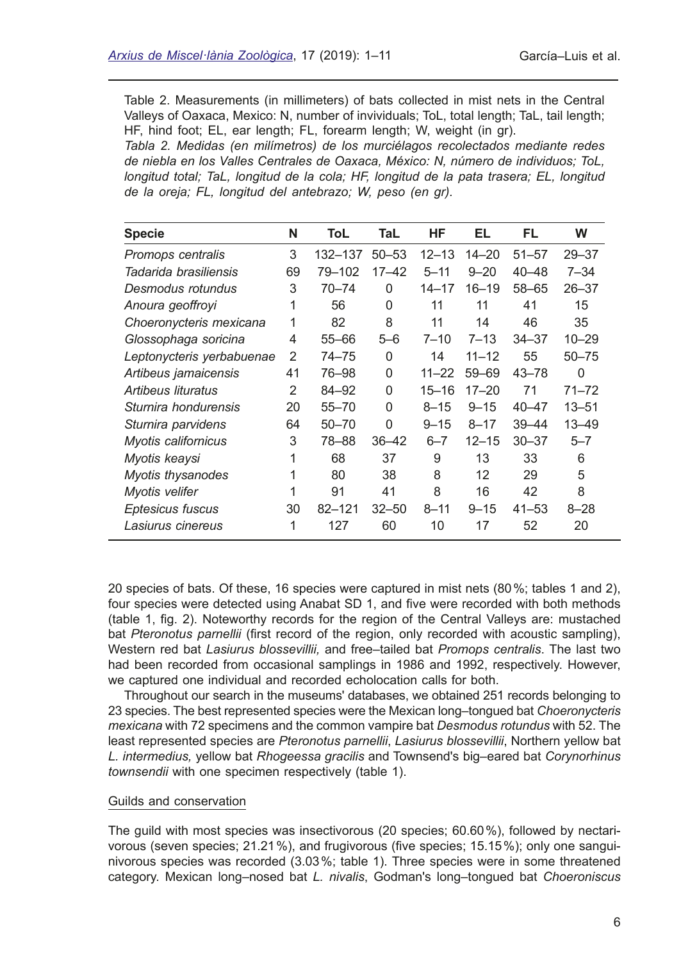Table 2. Measurements (in millimeters) of bats collected in mist nets in the Central Valleys of Oaxaca, Mexico: N, number of invividuals; ToL, total length; TaL, tail length; HF, hind foot; EL, ear length; FL, forearm length; W, weight (in gr).

*Tabla 2. Medidas (en milímetros) de los murciélagos recolectados mediante redes de niebla en los Valles Centrales de Oaxaca, México: N, número de individuos; ToL, longitud total; TaL, longitud de la cola; HF, longitud de la pata trasera; EL, longitud de la oreja; FL, longitud del antebrazo; W, peso (en gr).*

| <b>Specie</b>             | N  | ToL        | TaL       | ΗF        | EL        | FL        | W         |
|---------------------------|----|------------|-----------|-----------|-----------|-----------|-----------|
| Promops centralis         | 3  | 132–137    | $50 - 53$ | $12 - 13$ | $14 - 20$ | $51 - 57$ | $29 - 37$ |
| Tadarida brasiliensis     | 69 | 79–102     | $17 - 42$ | $5 - 11$  | $9 - 20$  | $40 - 48$ | $7 - 34$  |
| Desmodus rotundus         | 3  | $70 - 74$  | 0         | $14 - 17$ | $16 - 19$ | $58 - 65$ | $26 - 37$ |
| Anoura geoffroyi          | 1  | 56         | 0         | 11        | 11        | 41        | 15        |
| Choeronycteris mexicana   | 1  | 82         | 8         | 11        | 14        | 46        | 35        |
| Glossophaga soricina      | 4  | $55 - 66$  | $5 - 6$   | $7 - 10$  | $7 - 13$  | $34 - 37$ | $10 - 29$ |
| Leptonycteris yerbabuenae | 2  | $74 - 75$  | 0         | 14        | $11 - 12$ | 55        | $50 - 75$ |
| Artibeus jamaicensis      | 41 | 76–98      | 0         | $11 - 22$ | $59 - 69$ | $43 - 78$ | 0         |
| Artibeus lituratus        | 2  | 84-92      | 0         | $15 - 16$ | $17 - 20$ | 71        | 71–72     |
| Sturnira hondurensis      | 20 | $55 - 70$  | 0         | $8 - 15$  | $9 - 15$  | $40 - 47$ | $13 - 51$ |
| Sturnira parvidens        | 64 | $50 - 70$  | 0         | $9 - 15$  | $8 - 17$  | $39 - 44$ | $13 - 49$ |
| Myotis californicus       | 3  | 78-88      | $36 - 42$ | $6 - 7$   | $12 - 15$ | $30 - 37$ | $5 - 7$   |
| Myotis keaysi             | 1  | 68         | 37        | 9         | 13        | 33        | 6         |
| Myotis thysanodes         | 1  | 80         | 38        | 8         | 12        | 29        | 5         |
| Myotis velifer            | 1  | 91         | 41        | 8         | 16        | 42        | 8         |
| Eptesicus fuscus          | 30 | $82 - 121$ | $32 - 50$ | $8 - 11$  | $9 - 15$  | $41 - 53$ | $8 - 28$  |
| Lasiurus cinereus         | 1  | 127        | 60        | 10        | 17        | 52        | 20        |

20 species of bats. Of these, 16 species were captured in mist nets (80%; tables 1 and 2), four species were detected using Anabat SD 1, and fve were recorded with both methods (table 1, fg. 2). Noteworthy records for the region of the Central Valleys are: mustached bat *Pteronotus parnellii* (frst record of the region, only recorded with acoustic sampling), Western red bat *Lasiurus blossevillii,* and free–tailed bat *Promops centralis*. The last two had been recorded from occasional samplings in 1986 and 1992, respectively. However, we captured one individual and recorded echolocation calls for both.

Throughout our search in the museums' databases, we obtained 251 records belonging to 23 species. The best represented species were the Mexican long–tongued bat *Choeronycteris mexicana* with 72 specimens and the common vampire bat *Desmodus rotundus* with 52. The least represented species are *Pteronotus parnellii*, *Lasiurus blossevillii*, Northern yellow bat *L. intermedius,* yellow bat *Rhogeessa gracilis* and Townsend's big–eared bat *Corynorhinus townsendii* with one specimen respectively (table 1).

#### Guilds and conservation

The guild with most species was insectivorous (20 species; 60.60%), followed by nectarivorous (seven species; 21.21%), and frugivorous (fve species; 15.15%); only one sanguinivorous species was recorded (3.03%; table 1). Three species were in some threatened category. Mexican long–nosed bat *L. nivalis*, Godman's long–tongued bat *Choeroniscus*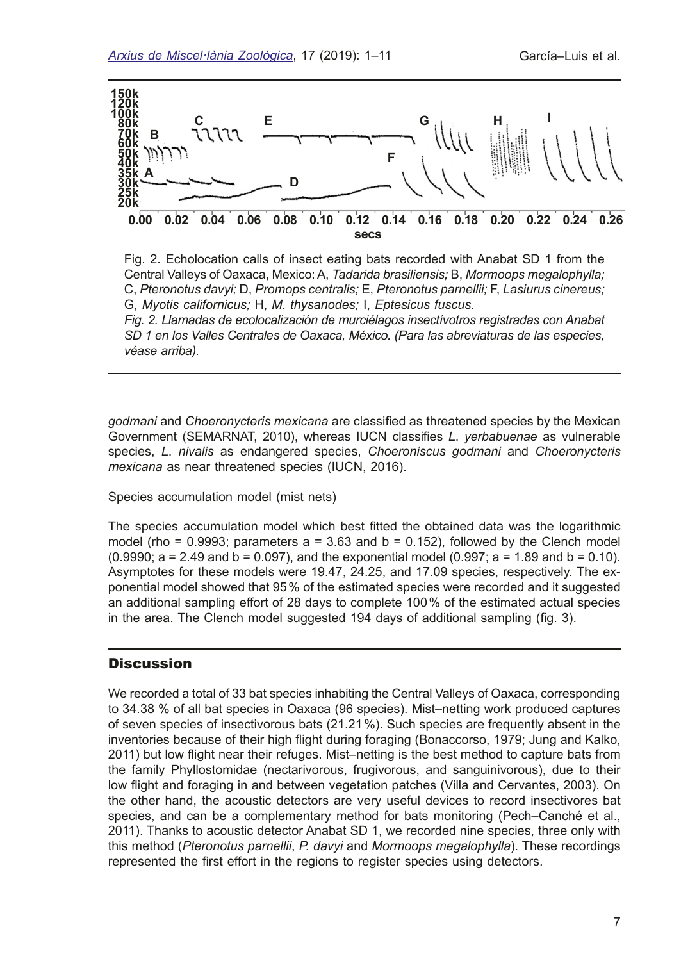

Fig. 2. Echolocation calls of insect eating bats recorded with Anabat SD 1 from the Central Valleys of Oaxaca, Mexico: A, *Tadarida brasiliensis;* B, *Mormoops megalophylla;*  C, *Pteronotus davyi;* D, *Promops centralis;* E, *Pteronotus parnellii;* F, *Lasiurus cinereus;*  G, *Myotis californicus;* H, *M. thysanodes;* I, *Eptesicus fuscus*.

*Fig. 2. Llamadas de ecolocalización de murciélagos insectívotros registradas con Anabat SD 1 en los Valles Centrales de Oaxaca, México. (Para las abreviaturas de las especies, véase arriba).*

*godmani* and *Choeronycteris mexicana* are classifed as threatened species by the Mexican Government (SEMARNAT, 2010), whereas IUCN classifes *L*. *yerbabuenae* as vulnerable species, *L*. *nivalis* as endangered species, *Choeroniscus godmani* and *Choeronycteris mexicana* as near threatened species (IUCN, 2016).

#### Species accumulation model (mist nets)

The species accumulation model which best ftted the obtained data was the logarithmic model (rho =  $0.9993$ ; parameters  $a = 3.63$  and  $b = 0.152$ ), followed by the Clench model  $(0.9990; a = 2.49$  and  $b = 0.097$ ), and the exponential model  $(0.997; a = 1.89$  and  $b = 0.10$ ). Asymptotes for these models were 19.47, 24.25, and 17.09 species, respectively. The exponential model showed that 95% of the estimated species were recorded and it suggested an additional sampling effort of 28 days to complete 100% of the estimated actual species in the area. The Clench model suggested 194 days of additional sampling (fg. 3).

# **Discussion**

We recorded a total of 33 bat species inhabiting the Central Valleys of Oaxaca, corresponding to 34.38 % of all bat species in Oaxaca (96 species). Mist–netting work produced captures of seven species of insectivorous bats (21.21%). Such species are frequently absent in the inventories because of their high fight during foraging (Bonaccorso, 1979; Jung and Kalko, 2011) but low fight near their refuges. Mist–netting is the best method to capture bats from the family Phyllostomidae (nectarivorous, frugivorous, and sanguinivorous), due to their low fight and foraging in and between vegetation patches (Villa and Cervantes, 2003). On the other hand, the acoustic detectors are very useful devices to record insectivores bat species, and can be a complementary method for bats monitoring (Pech–Canché et al., 2011). Thanks to acoustic detector Anabat SD 1, we recorded nine species, three only with this method (*Pteronotus parnellii*, *P. davyi* and *Mormoops megalophylla*). These recordings represented the frst effort in the regions to register species using detectors.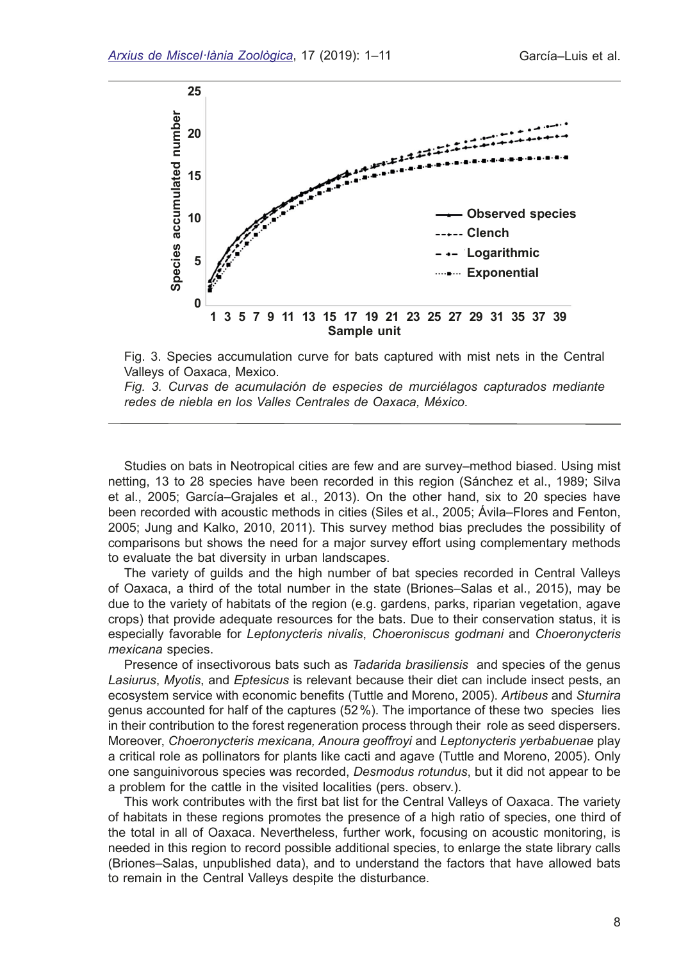



*Fig. 3. Curvas de acumulación de especies de murciélagos capturados mediante redes de niebla en los Valles Centrales de Oaxaca, México.*

Studies on bats in Neotropical cities are few and are survey–method biased. Using mist netting, 13 to 28 species have been recorded in this region (Sánchez et al., 1989; Silva et al., 2005; García–Grajales et al., 2013). On the other hand, six to 20 species have been recorded with acoustic methods in cities (Siles et al., 2005; Ávila–Flores and Fenton, 2005; Jung and Kalko, 2010, 2011). This survey method bias precludes the possibility of comparisons but shows the need for a major survey effort using complementary methods to evaluate the bat diversity in urban landscapes.

The variety of guilds and the high number of bat species recorded in Central Valleys of Oaxaca, a third of the total number in the state (Briones–Salas et al., 2015), may be due to the variety of habitats of the region (e.g. gardens, parks, riparian vegetation, agave crops) that provide adequate resources for the bats. Due to their conservation status, it is especially favorable for *Leptonycteris nivalis*, *Choeroniscus godmani* and *Choeronycteris mexicana* species.

Presence of insectivorous bats such as *Tadarida brasiliensis* and species of the genus *Lasiurus*, *Myotis*, and *Eptesicus* is relevant because their diet can include insect pests, an ecosystem service with economic benefts (Tuttle and Moreno, 2005). *Artibeus* and *Sturnira* genus accounted for half of the captures (52%). The importance of these two species lies in their contribution to the forest regeneration process through their role as seed dispersers. Moreover, *Choeronycteris mexicana, Anoura geoffroyi* and *Leptonycteris yerbabuenae* play a critical role as pollinators for plants like cacti and agave (Tuttle and Moreno, 2005). Only one sanguinivorous species was recorded, *Desmodus rotundus*, but it did not appear to be a problem for the cattle in the visited localities (pers. observ.).

This work contributes with the frst bat list for the Central Valleys of Oaxaca. The variety of habitats in these regions promotes the presence of a high ratio of species, one third of the total in all of Oaxaca. Nevertheless, further work, focusing on acoustic monitoring, is needed in this region to record possible additional species, to enlarge the state library calls (Briones–Salas, unpublished data), and to understand the factors that have allowed bats to remain in the Central Valleys despite the disturbance.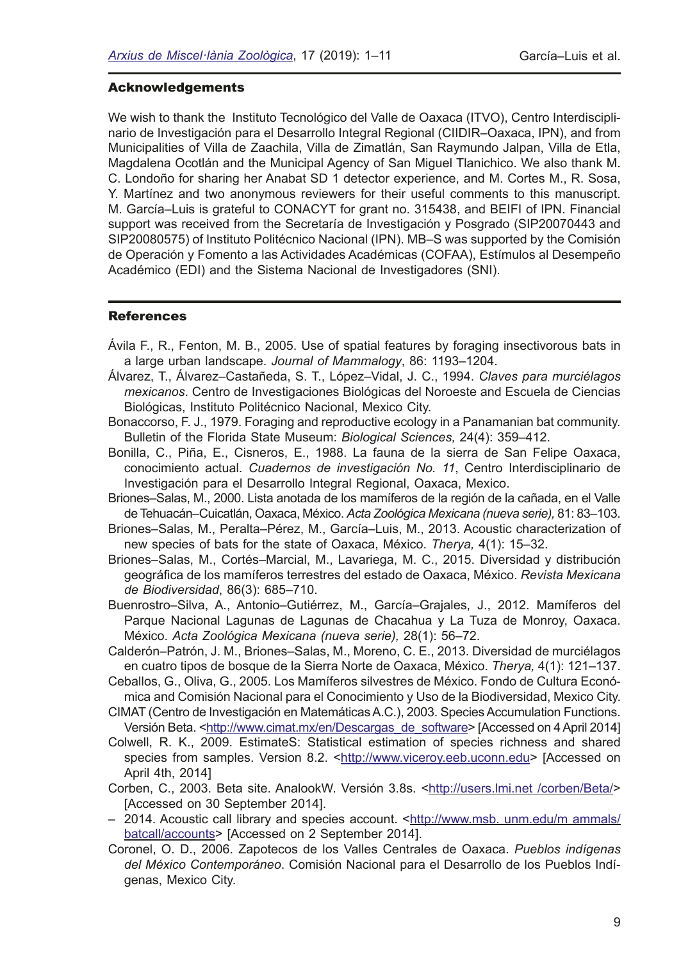#### Acknowledgements

We wish to thank the Instituto Tecnológico del Valle de Oaxaca (ITVO), Centro Interdisciplinario de Investigación para el Desarrollo Integral Regional (CIIDIR–Oaxaca, IPN), and from Municipalities of Villa de Zaachila, Villa de Zimatlán, San Raymundo Jalpan, Villa de Etla, Magdalena Ocotlán and the Municipal Agency of San Miguel Tlanichico. We also thank M. C. Londoño for sharing her Anabat SD 1 detector experience, and M. Cortes M., R. Sosa, Y. Martínez and two anonymous reviewers for their useful comments to this manuscript. M. García–Luis is grateful to CONACYT for grant no. 315438, and BEIFI of IPN. Financial support was received from the Secretaría de Investigación y Posgrado (SIP20070443 and SIP20080575) of Instituto Politécnico Nacional (IPN). MB–S was supported by the Comisión de Operación y Fomento a las Actividades Académicas (COFAA), Estímulos al Desempeño Académico (EDI) and the Sistema Nacional de Investigadores (SNI).

#### **References**

- Ávila F., R., Fenton, M. B., 2005. Use of spatial features by foraging insectivorous bats in a large urban landscape. *Journal of Mammalogy*, 86: 1193–1204.
- Álvarez, T., Álvarez–Castañeda, S. T., López–Vidal, J. C., 1994. *Claves para murciélagos mexicanos*. Centro de Investigaciones Biológicas del Noroeste and Escuela de Ciencias Biológicas, Instituto Politécnico Nacional, Mexico City.
- Bonaccorso, F. J., 1979. Foraging and reproductive ecology in a Panamanian bat community. Bulletin of the Florida State Museum: *Biological Sciences,* 24(4): 359–412.
- Bonilla, C., Piña, E., Cisneros, E., 1988. La fauna de la sierra de San Felipe Oaxaca, conocimiento actual. *Cuadernos de investigación No. 11*, Centro Interdisciplinario de Investigación para el Desarrollo Integral Regional, Oaxaca, Mexico.
- Briones–Salas, M., 2000. Lista anotada de los mamíferos de la región de la cañada, en el Valle de Tehuacán–Cuicatlán, Oaxaca, México. *Acta Zoológica Mexicana (nueva serie),* 81: 83–103.
- Briones–Salas, M., Peralta–Pérez, M., García–Luis, M., 2013. Acoustic characterization of new species of bats for the state of Oaxaca, México. *Therya,* 4(1): 15–32.
- Briones–Salas, M., Cortés–Marcial, M., Lavariega, M. C., 2015. Diversidad y distribución geográfca de los mamíferos terrestres del estado de Oaxaca, México. *Revista Mexicana de Biodiversidad*, 86(3): 685–710.
- Buenrostro–Silva, A., Antonio–Gutiérrez, M., García–Grajales, J., 2012. Mamíferos del Parque Nacional Lagunas de Lagunas de Chacahua y La Tuza de Monroy, Oaxaca. México. *Acta Zoológica Mexicana (nueva serie),* 28(1): 56–72.
- Calderón–Patrón, J. M., Briones–Salas, M., Moreno, C. E., 2013. Diversidad de murciélagos en cuatro tipos de bosque de la Sierra Norte de Oaxaca, México. *Therya,* 4(1): 121–137.
- Ceballos, G., Oliva, G., 2005. Los Mamíferos silvestres de México. Fondo de Cultura Económica and Comisión Nacional para el Conocimiento y Uso de la Biodiversidad, Mexico City.
- CIMAT (Centro de Investigación en Matemáticas A.C.), 2003. Species Accumulation Functions. Versión Beta. [<http://www.cimat.mx/en/Descargas\\_de\\_software](http://www.cimat.mx/en/Descargas_de_software)> [Accessed on 4 April 2014]
- Colwell, R. K., 2009. EstimateS: Statistical estimation of species richness and shared species from samples. Version 8.2. [<http://www.viceroy.eeb.uconn.edu](http://www.viceroy.eeb.uconn.edu)> [Accessed on April 4th, 2014]
- Corben, C., 2003. Beta site. AnalookW. Versión 3.8s. <[http://users.lmi.net /corben/Beta/](http://users.lmi.net/corben/Beta/_)> [Accessed on 30 September 2014].
- 2014. Acoustic call library and species account. [<http://www.msb. unm.edu/m ammals/](http://www.msb. unm.edu/m ammals/batcall/accounts) [batcall/accounts](http://www.msb. unm.edu/m ammals/batcall/accounts)> [Accessed on 2 September 2014].
- Coronel, O. D., 2006. Zapotecos de los Valles Centrales de Oaxaca. *Pueblos indígenas del México Contemporáneo*. Comisión Nacional para el Desarrollo de los Pueblos Indígenas, Mexico City.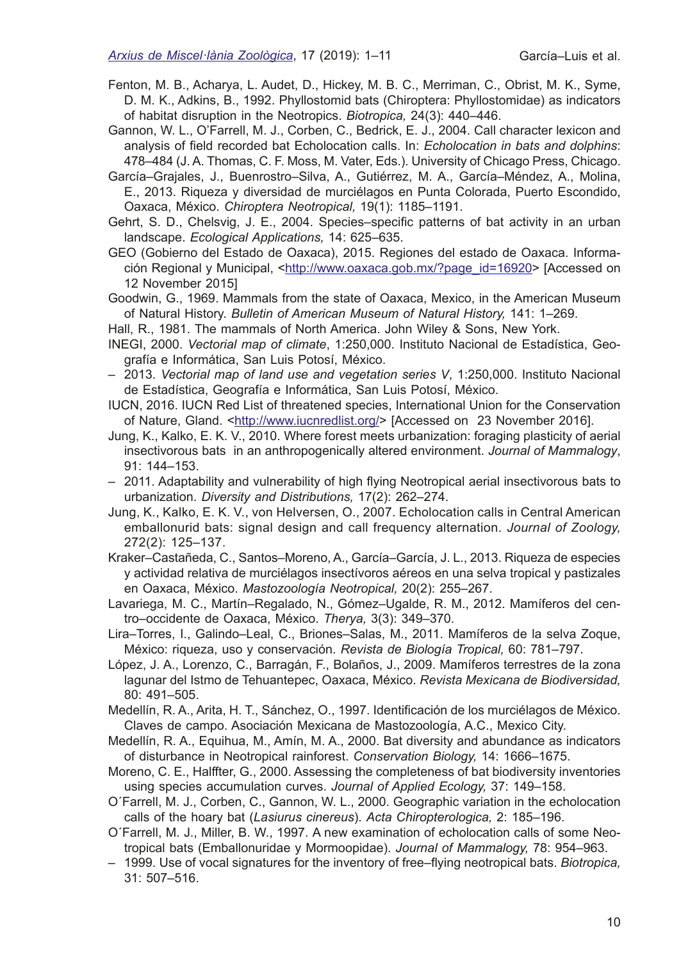- Fenton, M. B., Acharya, L. Audet, D., Hickey, M. B. C., Merriman, C., Obrist, M. K., Syme, D. M. K., Adkins, B., 1992. Phyllostomid bats (Chiroptera: Phyllostomidae) as indicators of habitat disruption in the Neotropics. *Biotropica,* 24(3): 440–446.
- Gannon, W. L., O'Farrell, M. J., Corben, C., Bedrick, E. J., 2004. Call character lexicon and analysis of feld recorded bat Echolocation calls. In: *Echolocation in bats and dolphins*: 478–484 (J. A. Thomas, C. F. Moss, M. Vater, Eds.). University of Chicago Press, Chicago.
- García–Grajales, J., Buenrostro–Silva, A., Gutiérrez, M. A., García–Méndez, A., Molina, E., 2013. Riqueza y diversidad de murciélagos en Punta Colorada, Puerto Escondido, Oaxaca, México. *Chiroptera Neotropical,* 19(1): 1185–1191.
- Gehrt, S. D., Chelsvig, J. E., 2004. Species–specifc patterns of bat activity in an urban landscape. *Ecological Applications,* 14: 625–635.
- GEO (Gobierno del Estado de Oaxaca), 2015. Regiones del estado de Oaxaca. Información Regional y Municipal, <[http://www.oaxaca.gob.mx/?page\\_id=16920>](http://www.oaxaca.gob.mx/?page_id=16920) [Accessed on 12 November 2015]
- Goodwin, G., 1969. Mammals from the state of Oaxaca, Mexico, in the American Museum of Natural History. *Bulletin of American Museum of Natural History,* 141: 1–269.
- Hall, R., 1981. The mammals of North America. John Wiley & Sons, New York.
- INEGI, 2000. *Vectorial map of climate*, 1:250,000. Instituto Nacional de Estadística, Geografía e Informática, San Luis Potosí, México.
- 2013. *Vectorial map of land use and vegetation series V*, 1:250,000. Instituto Nacional de Estadística, Geografía e Informática, San Luis Potosí, México.
- IUCN, 2016. IUCN Red List of threatened species, International Union for the Conservation of Nature, Gland. [<http://www.iucnredlist.org/>](http://www.iucnredlist.org/) [Accessed on 23 November 2016].
- Jung, K., Kalko, E. K. V., 2010. Where forest meets urbanization: foraging plasticity of aerial insectivorous bats in an anthropogenically altered environment. *Journal of Mammalogy*, 91: 144–153.
- 2011. Adaptability and vulnerability of high fying Neotropical aerial insectivorous bats to urbanization. *Diversity and Distributions,* 17(2): 262–274.
- Jung, K., Kalko, E. K. V., von Helversen, O., 2007. Echolocation calls in Central American emballonurid bats: signal design and call frequency alternation. *Journal of Zoology,*  272(2): 125–137.
- Kraker–Castañeda, C., Santos–Moreno, A., García–García, J. L., 2013. Riqueza de especies y actividad relativa de murciélagos insectívoros aéreos en una selva tropical y pastizales en Oaxaca, México. *Mastozoología Neotropical,* 20(2): 255–267.
- Lavariega, M. C., Martín–Regalado, N., Gómez–Ugalde, R. M., 2012. Mamíferos del centro–occidente de Oaxaca, México. *Therya,* 3(3): 349–370.
- Lira–Torres, I., Galindo–Leal, C., Briones–Salas, M., 2011. Mamíferos de la selva Zoque, México: riqueza, uso y conservación. *Revista de Biología Tropical,* 60: 781–797.
- López, J. A., Lorenzo, C., Barragán, F., Bolaños, J., 2009. Mamíferos terrestres de la zona lagunar del Istmo de Tehuantepec, Oaxaca, México. *Revista Mexicana de Biodiversidad,* 80: 491–505.
- Medellín, R. A., Arita, H. T., Sánchez, O., 1997. Identifcación de los murciélagos de México. Claves de campo. Asociación Mexicana de Mastozoología, A.C., Mexico City.
- Medellín, R. A., Equihua, M., Amín, M. A., 2000. Bat diversity and abundance as indicators of disturbance in Neotropical rainforest. *Conservation Biology,* 14: 1666–1675.
- Moreno, C. E., Halffter, G., 2000. Assessing the completeness of bat biodiversity inventories using species accumulation curves. *Journal of Applied Ecology,* 37: 149–158.
- O´Farrell, M. J., Corben, C., Gannon, W. L., 2000. Geographic variation in the echolocation calls of the hoary bat (*Lasiurus cinereus*). *Acta Chiropterologica,* 2: 185–196.
- O´Farrell, M. J., Miller, B. W., 1997. A new examination of echolocation calls of some Neotropical bats (Emballonuridae y Mormoopidae). *Journal of Mammalogy,* 78: 954–963.
- 1999. Use of vocal signatures for the inventory of free–fying neotropical bats. *Biotropica,* 31: 507–516.